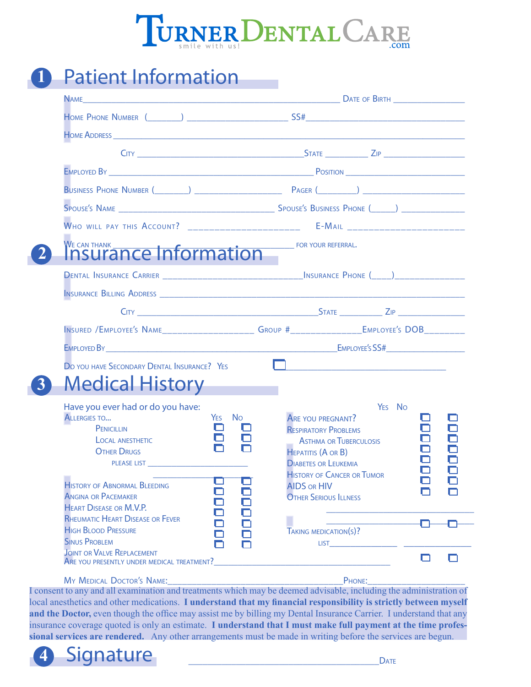

|  | <b>Patient Information</b> |  |
|--|----------------------------|--|
|  |                            |  |
|  |                            |  |

|                                                                                                                                                                                                                                                                    | WHO WILL PAY THIS ACCOUNT? _________________________ E-MAIL ____________________                                                                                                                                                                      |
|--------------------------------------------------------------------------------------------------------------------------------------------------------------------------------------------------------------------------------------------------------------------|-------------------------------------------------------------------------------------------------------------------------------------------------------------------------------------------------------------------------------------------------------|
| <b>WE CAN THANK</b><br><b>Insurance Information</b> FOR YOUR REFERRAL.                                                                                                                                                                                             |                                                                                                                                                                                                                                                       |
|                                                                                                                                                                                                                                                                    | DENTAL INSURANCE CARRIER <b>And Alternative Contract Carrier Contract Contract Contract Contract Contract Contract Contract Contract On the UNSURANCE PHONE (Carrier Contract On the UNSURANCE PHONE (Carrier Contract On the UN</b>                  |
|                                                                                                                                                                                                                                                                    |                                                                                                                                                                                                                                                       |
|                                                                                                                                                                                                                                                                    |                                                                                                                                                                                                                                                       |
|                                                                                                                                                                                                                                                                    | INSURED / EMPLOYEE'S NAME___________________GROUP #______________________________                                                                                                                                                                     |
|                                                                                                                                                                                                                                                                    | EMPLOYED BY EMPLOYED TO A RESERVE THE SERVE TO A RESERVE THE SERVE TO A RESERVE THE SERVE TO A RESERVE THE SERVE TO A RESERVE THE SERVE TO A RESERVE THE SERVE TO A RESERVE THE SERVE TO A RESERVE THE SERVE TO A RESERVE THE                         |
| DO YOU HAVE SECONDARY DENTAL INSURANCE? YES                                                                                                                                                                                                                        |                                                                                                                                                                                                                                                       |
| <b>Medical History</b>                                                                                                                                                                                                                                             |                                                                                                                                                                                                                                                       |
| Have you ever had or do you have:<br>ALLERGIES TO<br>Yes                                                                                                                                                                                                           | YES No                                                                                                                                                                                                                                                |
| П<br>PENICILLIN<br>n<br><b>LOCAL ANESTHETIC</b><br>n<br><b>OTHER DRUGS</b><br>$\overline{\phantom{a}}$<br><b>HISTORY OF ABNORMAL BLEEDING</b><br><b>ANGINA OR PACEMAKER</b><br><b>HEART DISEASE OR M.V.P.</b><br>□<br><b>RHEUMATIC HEART DISEASE OR FEVER</b><br>Ō | <b>No</b><br>ARE YOU PREGNANT?<br><b>RESPIRATORY PROBLEMS</b><br><b>ASTHMA OR TUBERCULOSIS</b><br><b>HEPATITIS (A OR B)</b><br><b>DIABETES OR LEUKEMIA</b><br><b>HISTORY OF CANCER OR TUMOR</b><br><b>AIDS OR HIV</b><br><b>OTHER SERIOUS ILLNESS</b> |
| <b>HIGH BLOOD PRESSURE</b><br>n<br><b>SINUS PROBLEM</b>                                                                                                                                                                                                            | Ō<br>TAKING MEDICATION(S)?<br>Ō                                                                                                                                                                                                                       |

#### My Medical Doctor's Name:\_\_\_\_\_\_\_\_\_\_\_\_\_\_\_\_\_\_\_\_\_\_\_\_\_\_\_\_\_\_\_\_\_\_\_\_Phone:\_\_\_\_\_\_\_\_\_\_\_\_\_\_\_\_\_\_\_\_

I consent to any and all examination and treatments which may be deemed advisable, including the administration of local anesthetics and other medications. **I understand that my financial responsibility is strictly between myself**  and the Doctor, even though the office may assist me by billing my Dental Insurance Carrier. I understand that any insurance coverage quoted is only an estimate. **I understand that I must make full payment at the time professional services are rendered.** Any other arrangements must be made in writing before the services are begun.

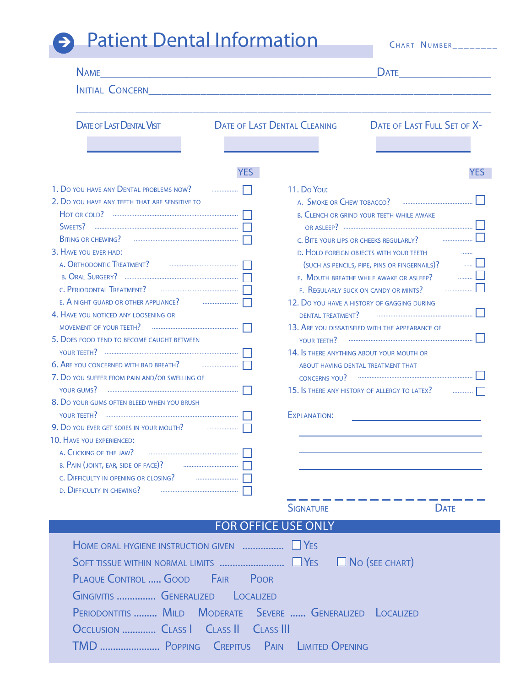## **Patient Dental Information**

CHART NUMBER\_\_\_\_\_\_\_\_\_

| <b>NAME</b>                                                                                                    |                            |                              | <b>DATE</b>                                                                                                                                                                                                                                                                                                                                                                                                                         |
|----------------------------------------------------------------------------------------------------------------|----------------------------|------------------------------|-------------------------------------------------------------------------------------------------------------------------------------------------------------------------------------------------------------------------------------------------------------------------------------------------------------------------------------------------------------------------------------------------------------------------------------|
| INITIAL CONCERN AND THE STATE OF THE STATE OF THE STATE OF THE STATE OF THE STATE OF THE STATE OF THE STATE OF |                            |                              |                                                                                                                                                                                                                                                                                                                                                                                                                                     |
| <b>DATE OF LAST DENTAL VISIT</b>                                                                               |                            | DATE OF LAST DENTAL CLEANING | DATE OF LAST FULL SET OF X-                                                                                                                                                                                                                                                                                                                                                                                                         |
|                                                                                                                |                            |                              |                                                                                                                                                                                                                                                                                                                                                                                                                                     |
|                                                                                                                | <b>YES</b>                 |                              | <b>YES</b>                                                                                                                                                                                                                                                                                                                                                                                                                          |
| 1. DO YOU HAVE ANY DENTAL PROBLEMS NOW? <b></b>                                                                |                            | <b>11. Do You:</b>           |                                                                                                                                                                                                                                                                                                                                                                                                                                     |
| 2. DO YOU HAVE ANY TEETH THAT ARE SENSITIVE TO                                                                 |                            |                              |                                                                                                                                                                                                                                                                                                                                                                                                                                     |
|                                                                                                                |                            |                              | <b>B. CLENCH OR GRIND YOUR TEETH WHILE AWAKE</b>                                                                                                                                                                                                                                                                                                                                                                                    |
|                                                                                                                |                            |                              |                                                                                                                                                                                                                                                                                                                                                                                                                                     |
|                                                                                                                |                            |                              | C. BITE YOUR LIPS OR CHEEKS REGULARLY?                                                                                                                                                                                                                                                                                                                                                                                              |
| 3. HAVE YOU EVER HAD:                                                                                          |                            |                              | D. HOLD FOREIGN OBJECTS WITH YOUR TEETH                                                                                                                                                                                                                                                                                                                                                                                             |
| A. ORTHODONTIC TREATMENT? <b>CONTRACT ACCORDING THE CONTRACT OF ACCOUNT</b>                                    |                            |                              | (SUCH AS PENCILS, PIPE, PINS OR FINGERNAILS)?                                                                                                                                                                                                                                                                                                                                                                                       |
|                                                                                                                |                            |                              | E. MOUTH BREATHE WHILE AWAKE OR ASLEEP?                                                                                                                                                                                                                                                                                                                                                                                             |
|                                                                                                                |                            |                              | F. REGULARLY SUCK ON CANDY OR MINTS?                                                                                                                                                                                                                                                                                                                                                                                                |
| E. A NIGHT GUARD OR OTHER APPLIANCE?                                                                           |                            |                              | 12. DO YOU HAVE A HISTORY OF GAGGING DURING                                                                                                                                                                                                                                                                                                                                                                                         |
| 4. HAVE YOU NOTICED ANY LOOSENING OR                                                                           |                            | DENTAL TREATMENT?            |                                                                                                                                                                                                                                                                                                                                                                                                                                     |
|                                                                                                                |                            |                              | 13. ARE YOU DISSATISFIED WITH THE APPEARANCE OF                                                                                                                                                                                                                                                                                                                                                                                     |
| 5. DOES FOOD TEND TO BECOME CAUGHT BETWEEN                                                                     |                            | YOUR TEETH?                  | $\begin{minipage}{0.5\textwidth} \begin{tabular}{ c c c c } \hline \multicolumn{1}{ c }{p} & \multicolumn{1}{ c }{p} & \multicolumn{1}{ c }{p} & \multicolumn{1}{ c }{p} & \multicolumn{1}{ c }{p} & \multicolumn{1}{ c }{p} & \multicolumn{1}{ c }{p} & \multicolumn{1}{ c }{p} & \multicolumn{1}{ c }{p} & \multicolumn{1}{ c }{p} & \multicolumn{1}{ c }{p} & \multicolumn{1}{ c }{p} & \multicolumn{1}{ c }{p} & \multicolumn{$ |
|                                                                                                                |                            |                              | 14. Is THERE ANYTHING ABOUT YOUR MOUTH OR                                                                                                                                                                                                                                                                                                                                                                                           |
|                                                                                                                |                            |                              | ABOUT HAVING DENTAL TREATMENT THAT                                                                                                                                                                                                                                                                                                                                                                                                  |
| 7. Do you suffer from pain and/or swelling of                                                                  |                            |                              | CONCERNS YOU?                                                                                                                                                                                                                                                                                                                                                                                                                       |
|                                                                                                                |                            |                              | 15. Is there any history of allergy to latex?<br>.                                                                                                                                                                                                                                                                                                                                                                                  |
| 8. DO YOUR GUMS OFTEN BLEED WHEN YOU BRUSH                                                                     |                            |                              |                                                                                                                                                                                                                                                                                                                                                                                                                                     |
|                                                                                                                |                            | <b>EXPLANATION:</b>          |                                                                                                                                                                                                                                                                                                                                                                                                                                     |
| 9. DO YOU EVER GET SORES IN YOUR MOUTH?                                                                        |                            |                              |                                                                                                                                                                                                                                                                                                                                                                                                                                     |
| 10. HAVE YOU EXPERIENCED:                                                                                      |                            |                              |                                                                                                                                                                                                                                                                                                                                                                                                                                     |
|                                                                                                                |                            |                              |                                                                                                                                                                                                                                                                                                                                                                                                                                     |
|                                                                                                                |                            |                              |                                                                                                                                                                                                                                                                                                                                                                                                                                     |
|                                                                                                                |                            |                              |                                                                                                                                                                                                                                                                                                                                                                                                                                     |
| D. DIFFICULTY IN CHEWING? <b>CONTAINS A CONTROL</b>                                                            |                            |                              |                                                                                                                                                                                                                                                                                                                                                                                                                                     |
|                                                                                                                |                            | <b>SIGNATURE</b>             | <b>DATE</b>                                                                                                                                                                                                                                                                                                                                                                                                                         |
|                                                                                                                | <b>FOR OFFICE USE ONLY</b> |                              |                                                                                                                                                                                                                                                                                                                                                                                                                                     |
| HOME ORAL HYGIENE INSTRUCTION GIVEN  YES                                                                       |                            |                              |                                                                                                                                                                                                                                                                                                                                                                                                                                     |
|                                                                                                                |                            |                              |                                                                                                                                                                                                                                                                                                                                                                                                                                     |
|                                                                                                                |                            |                              |                                                                                                                                                                                                                                                                                                                                                                                                                                     |
| PLAQUE CONTROL  GOOD FAIR POOR                                                                                 |                            |                              |                                                                                                                                                                                                                                                                                                                                                                                                                                     |
| GINGIVITIS  GENERALIZED LOCALIZED                                                                              |                            |                              |                                                                                                                                                                                                                                                                                                                                                                                                                                     |
| PERIODONTITIS  MILD MODERATE SEVERE  GENERALIZED LOCALIZED                                                     |                            |                              |                                                                                                                                                                                                                                                                                                                                                                                                                                     |
|                                                                                                                |                            |                              |                                                                                                                                                                                                                                                                                                                                                                                                                                     |
| OCCLUSION  CLASS   CLASS   CLASS                                                                               |                            |                              |                                                                                                                                                                                                                                                                                                                                                                                                                                     |
| TMD  POPPING CREPITUS PAIN LIMITED OPENING                                                                     |                            |                              |                                                                                                                                                                                                                                                                                                                                                                                                                                     |
|                                                                                                                |                            |                              |                                                                                                                                                                                                                                                                                                                                                                                                                                     |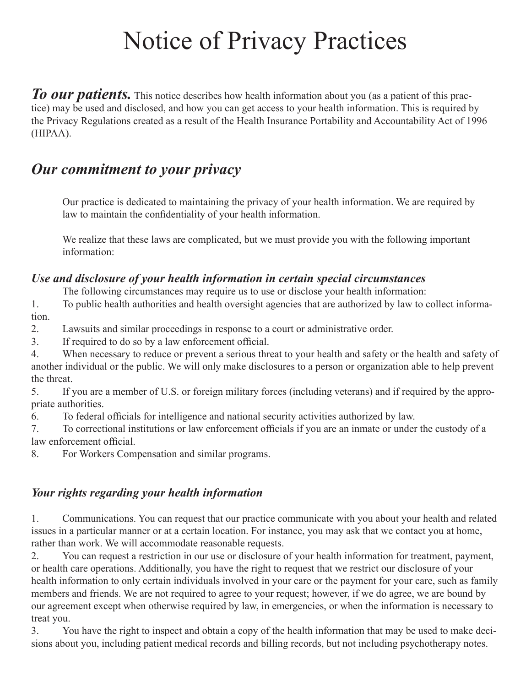# Notice of Privacy Practices

**To our patients.** This notice describes how health information about you (as a patient of this practice) may be used and disclosed, and how you can get access to your health information. This is required by the Privacy Regulations created as a result of the Health Insurance Portability and Accountability Act of 1996 (HIPAA).

### *Our commitment to your privacy*

Our practice is dedicated to maintaining the privacy of your health information. We are required by law to maintain the confidentiality of your health information.

We realize that these laws are complicated, but we must provide you with the following important information:

#### *Use and disclosure of your health information in certain special circumstances*

The following circumstances may require us to use or disclose your health information:

1. To public health authorities and health oversight agencies that are authorized by law to collect information.

2. Lawsuits and similar proceedings in response to a court or administrative order.

3. If required to do so by a law enforcement official.

4. When necessary to reduce or prevent a serious threat to your health and safety or the health and safety of another individual or the public. We will only make disclosures to a person or organization able to help prevent the threat.

5. If you are a member of U.S. or foreign military forces (including veterans) and if required by the appropriate authorities.

6. To federal officials for intelligence and national security activities authorized by law.

7. To correctional institutions or law enforcement officials if you are an inmate or under the custody of a law enforcement official.

8. For Workers Compensation and similar programs.

#### *Your rights regarding your health information*

1. Communications. You can request that our practice communicate with you about your health and related issues in a particular manner or at a certain location. For instance, you may ask that we contact you at home, rather than work. We will accommodate reasonable requests.

2. You can request a restriction in our use or disclosure of your health information for treatment, payment, or health care operations. Additionally, you have the right to request that we restrict our disclosure of your health information to only certain individuals involved in your care or the payment for your care, such as family members and friends. We are not required to agree to your request; however, if we do agree, we are bound by our agreement except when otherwise required by law, in emergencies, or when the information is necessary to treat you.

3. You have the right to inspect and obtain a copy of the health information that may be used to make decisions about you, including patient medical records and billing records, but not including psychotherapy notes.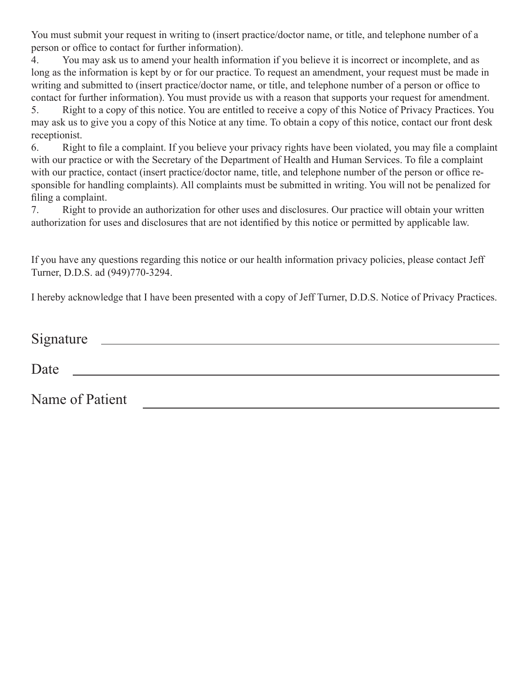You must submit your request in writing to (insert practice/doctor name, or title, and telephone number of a person or office to contact for further information).

4. You may ask us to amend your health information if you believe it is incorrect or incomplete, and as long as the information is kept by or for our practice. To request an amendment, your request must be made in writing and submitted to (insert practice/doctor name, or title, and telephone number of a person or office to contact for further information). You must provide us with a reason that supports your request for amendment.

5. Right to a copy of this notice. You are entitled to receive a copy of this Notice of Privacy Practices. You may ask us to give you a copy of this Notice at any time. To obtain a copy of this notice, contact our front desk receptionist.

6. Right to file a complaint. If you believe your privacy rights have been violated, you may file a complaint with our practice or with the Secretary of the Department of Health and Human Services. To file a complaint with our practice, contact (insert practice/doctor name, title, and telephone number of the person or office responsible for handling complaints). All complaints must be submitted in writing. You will not be penalized for filing a complaint.

7. Right to provide an authorization for other uses and disclosures. Our practice will obtain your written authorization for uses and disclosures that are not identified by this notice or permitted by applicable law.

If you have any questions regarding this notice or our health information privacy policies, please contact Jeff Turner, D.D.S. ad (949)770-3294.

I hereby acknowledge that I have been presented with a copy of Jeff Turner, D.D.S. Notice of Privacy Practices.

| Signature       |  |  |  |
|-----------------|--|--|--|
| Date            |  |  |  |
| Name of Patient |  |  |  |